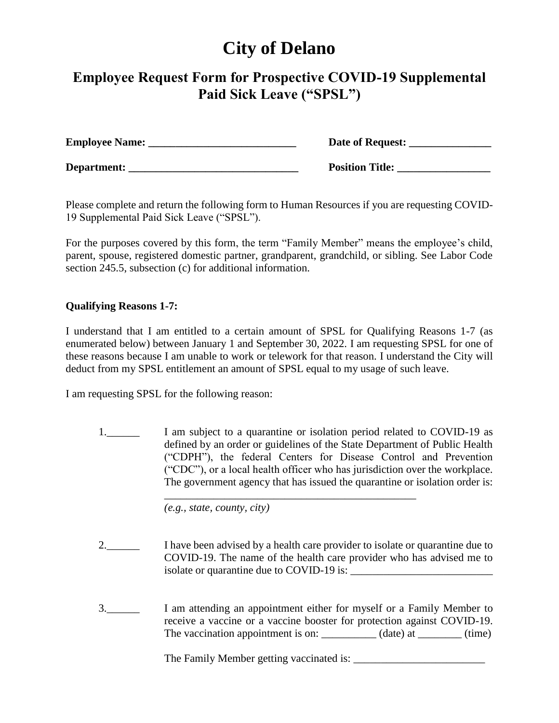## **City of Delano**

## **Employee Request Form for Prospective COVID-19 Supplemental Paid Sick Leave ("SPSL")**

| <b>Employee Name:</b> | Date of Request:       |
|-----------------------|------------------------|
| Department:           | <b>Position Title:</b> |

Please complete and return the following form to Human Resources if you are requesting COVID-19 Supplemental Paid Sick Leave ("SPSL").

For the purposes covered by this form, the term "Family Member" means the employee's child, parent, spouse, registered domestic partner, grandparent, grandchild, or sibling. See Labor Code section 245.5, subsection (c) for additional information.

## **Qualifying Reasons 1-7:**

I understand that I am entitled to a certain amount of SPSL for Qualifying Reasons 1-7 (as enumerated below) between January 1 and September 30, 2022. I am requesting SPSL for one of these reasons because I am unable to work or telework for that reason. I understand the City will deduct from my SPSL entitlement an amount of SPSL equal to my usage of such leave.

I am requesting SPSL for the following reason:

1.\_\_\_\_\_\_ I am subject to a quarantine or isolation period related to COVID-19 as defined by an order or guidelines of the State Department of Public Health ("CDPH"), the federal Centers for Disease Control and Prevention ("CDC"), or a local health officer who has jurisdiction over the workplace. The government agency that has issued the quarantine or isolation order is:

\_\_\_\_\_\_\_\_\_\_\_\_\_\_\_\_\_\_\_\_\_\_\_\_\_\_\_\_\_\_\_\_\_\_\_\_\_\_\_\_\_\_\_\_\_\_

 *(e.g., state, county, city)*

- 2.\_\_\_\_\_\_ I have been advised by a health care provider to isolate or quarantine due to COVID-19. The name of the health care provider who has advised me to isolate or quarantine due to COVID-19 is:
- 3.\_\_\_\_\_\_ I am attending an appointment either for myself or a Family Member to receive a vaccine or a vaccine booster for protection against COVID-19. The vaccination appointment is on: \_\_\_\_\_\_\_\_\_\_ (date) at \_\_\_\_\_\_\_ (time)

The Family Member getting vaccinated is: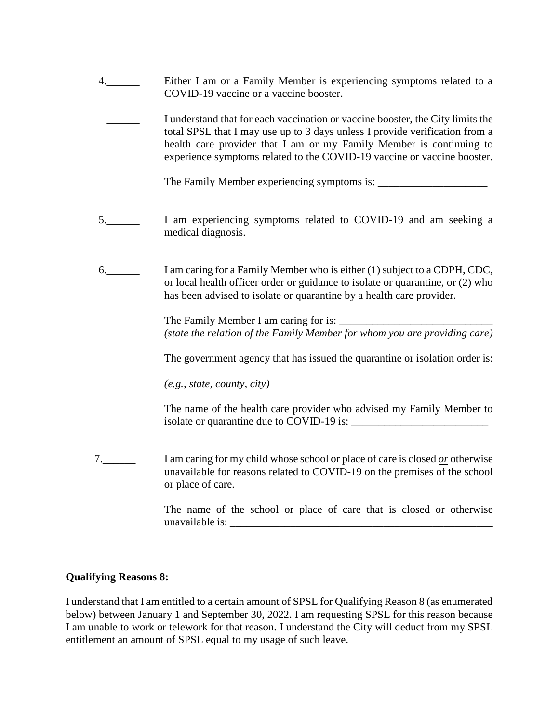| Either I am or a Family Member is experiencing symptoms related to a |
|----------------------------------------------------------------------|
| COVID-19 vaccine or a vaccine booster.                               |

I understand that for each vaccination or vaccine booster, the City limits the total SPSL that I may use up to 3 days unless I provide verification from a health care provider that I am or my Family Member is continuing to experience symptoms related to the COVID-19 vaccine or vaccine booster.

The Family Member experiencing symptoms is:

- 5.\_\_\_\_\_\_ I am experiencing symptoms related to COVID-19 and am seeking a medical diagnosis.
- 6.\_\_\_\_\_\_ I am caring for a Family Member who is either (1) subject to a CDPH, CDC, or local health officer order or guidance to isolate or quarantine, or (2) who has been advised to isolate or quarantine by a health care provider.

The Family Member I am caring for is: *(state the relation of the Family Member for whom you are providing care)*

The government agency that has issued the quarantine or isolation order is: \_\_\_\_\_\_\_\_\_\_\_\_\_\_\_\_\_\_\_\_\_\_\_\_\_\_\_\_\_\_\_\_\_\_\_\_\_\_\_\_\_\_\_\_\_\_\_\_\_\_\_\_\_\_\_\_\_\_\_\_

 *(e.g., state, county, city)*

The name of the health care provider who advised my Family Member to isolate or quarantine due to COVID-19 is: \_\_\_\_\_\_\_\_\_\_\_\_\_\_\_\_\_\_\_\_\_\_\_\_\_

7.\_\_\_\_\_\_ I am caring for my child whose school or place of care is closed *or* otherwise unavailable for reasons related to COVID-19 on the premises of the school or place of care.

> The name of the school or place of care that is closed or otherwise unavailable is: \_\_\_\_\_\_\_\_\_\_\_\_\_\_\_\_\_\_\_\_\_\_\_\_\_\_\_\_\_\_\_\_\_\_\_\_\_\_\_\_\_\_\_\_\_\_\_\_

## **Qualifying Reasons 8:**

I understand that I am entitled to a certain amount of SPSL for Qualifying Reason 8 (as enumerated below) between January 1 and September 30, 2022. I am requesting SPSL for this reason because I am unable to work or telework for that reason. I understand the City will deduct from my SPSL entitlement an amount of SPSL equal to my usage of such leave.